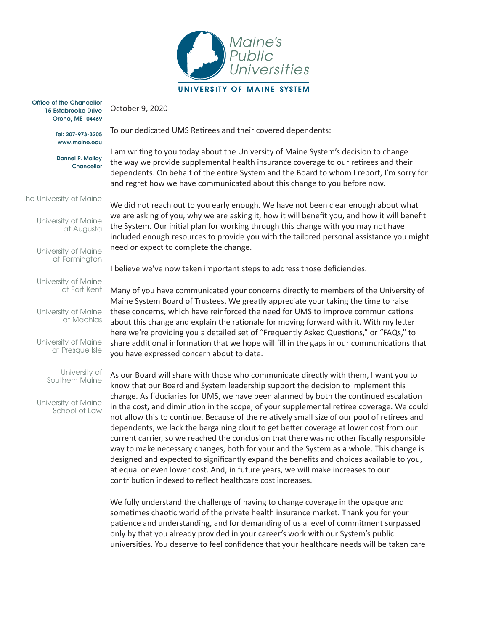

Office of the Chancellor 15 Estabrooke Drive Orono, ME 04469

> Tel: 207-973-3205 <www.maine.edu>

October 9, 2020

Dannel P. Malloy Chancellor

The University of Maine

University of Maine at Augusta

University of Maine at Farmington

University of Maine at Fort Kent

University of Maine at Machias

University of Maine at Presque Isle

> University of Southern Maine

University of Maine School of Law To our dedicated UMS Retirees and their covered dependents:

I am writing to you today about the University of Maine System's decision to change the way we provide supplemental health insurance coverage to our retirees and their dependents. On behalf of the entire System and the Board to whom I report, I'm sorry for and regret how we have communicated about this change to you before now.

We did not reach out to you early enough. We have not been clear enough about what we are asking of you, why we are asking it, how it will benefit you, and how it will benefit the System. Our initial plan for working through this change with you may not have included enough resources to provide you with the tailored personal assistance you might need or expect to complete the change.

I believe we've now taken important steps to address those deficiencies.

Many of you have communicated your concerns directly to members of the University of Maine System Board of Trustees. We greatly appreciate your taking the time to raise these concerns, which have reinforced the need for UMS to improve communications about this change and explain the rationale for moving forward with it. With my letter here we're providing you a detailed set of "Frequently Asked Questions," or "FAQs," to share additional information that we hope will fill in the gaps in our communications that you have expressed concern about to date.

As our Board will share with those who communicate directly with them, I want you to know that our Board and System leadership support the decision to implement this change. As fiduciaries for UMS, we have been alarmed by both the continued escalation in the cost, and diminution in the scope, of your supplemental retiree coverage. We could not allow this to continue. Because of the relatively small size of our pool of retirees and dependents, we lack the bargaining clout to get better coverage at lower cost from our current carrier, so we reached the conclusion that there was no other fiscally responsible way to make necessary changes, both for your and the System as a whole. This change is designed and expected to significantly expand the benefits and choices available to you, at equal or even lower cost. And, in future years, we will make increases to our contribution indexed to reflect healthcare cost increases.

We fully understand the challenge of having to change coverage in the opaque and sometimes chaotic world of the private health insurance market. Thank you for your patience and understanding, and for demanding of us a level of commitment surpassed only by that you already provided in your career's work with our System's public universities. You deserve to feel confidence that your healthcare needs will be taken care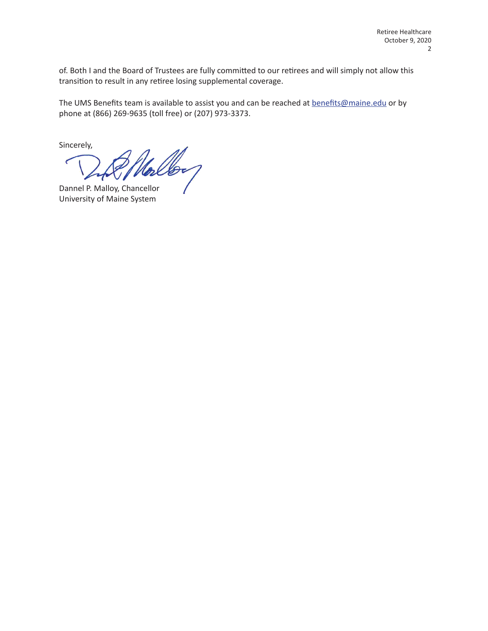of. Both I and the Board of Trustees are fully committed to our retirees and will simply not allow this transition to result in any retiree losing supplemental coverage.

The UMS Benefits team is available to assist you and can be reached at [benefits@maine.edu](mailto:benefits@maine.edu) or by phone at (866) 269-9635 (toll free) or (207) 973-3373.

Sincerely,

 $\mathscr{L}$ 

Dannel P. Malloy, Chancellor University of Maine System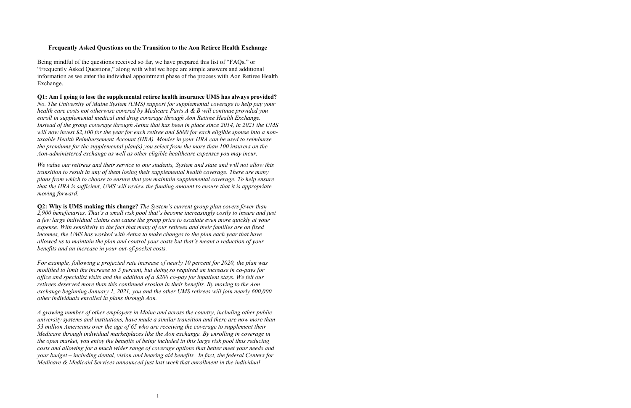## **Frequently Asked Questions on the Transition to the Aon Retiree Health Exchange**

Being mindful of the questions received so far, we have prepared this list of "FAQs," or "Frequently Asked Questions," along with what we hope are simple answers and additional information as we enter the individual appointment phase of the process with Aon Retiree Health Exchange.

## **Q1: Am I going to lose the supplemental retiree health insurance UMS has always provided?**

*No. The University of Maine System (UMS) support for supplemental coverage to help pay your health care costs not otherwise covered by Medicare Parts A & B will continue provided you enroll in supplemental medical and drug coverage through Aon Retiree Health Exchange. Instead of the group coverage through Aetna that has been in place since 2014, in 2021 the UMS*  will now invest \$2,100 for the year for each retiree and \$800 for each eligible spouse into a non*taxable Health Reimbursement Account (HRA). Monies in your HRA can be used to reimburse the premiums for the supplemental plan(s) you select from the more than 100 insurers on the Aon-administered exchange as well as other eligible healthcare expenses you may incur.* 

*We value our retirees and their service to our students, System and state and will not allow this transition to result in any of them losing their supplemental health coverage. There are many plans from which to choose to ensure that you maintain supplemental coverage. To help ensure that the HRA is sufficient, UMS will review the funding amount to ensure that it is appropriate moving forward.* 

**Q2: Why is UMS making this change?** *The System's current group plan covers fewer than 2,900 beneficiaries. That's a small risk pool that's become increasingly costly to insure and just a few large individual claims can cause the group price to escalate even more quickly at your expense. With sensitivity to the fact that many of our retirees and their families are on fixed incomes, the UMS has worked with Aetna to make changes to the plan each year that have allowed us to maintain the plan and control your costs but that's meant a reduction of your benefits and an increase in your out-of-pocket costs.*

*For example, following a projected rate increase of nearly 10 percent for 2020, the plan was modified to limit the increase to 5 percent, but doing so required an increase in co-pays for office and specialist visits and the addition of a \$200 co-pay for inpatient stays. We felt our retirees deserved more than this continued erosion in their benefits. By moving to the Aon exchange beginning January 1, 2021, you and the other UMS retirees will join nearly 600,000 other individuals enrolled in plans through Aon.*

*A growing number of other employers in Maine and across the country, including other public university systems and institutions, have made a similar transition and there are now more than 53 million Americans over the age of 65 who are receiving the coverage to supplement their Medicare through individual marketplaces like the Aon exchange. By enrolling in coverage in the open market, you enjoy the benefits of being included in this large risk pool thus reducing costs and allowing for a much wider range of coverage options that better meet your needs and your budget – including dental, vision and hearing aid benefits. In fact, the federal Centers for Medicare & Medicaid Services announced just last week that enrollment in the individual*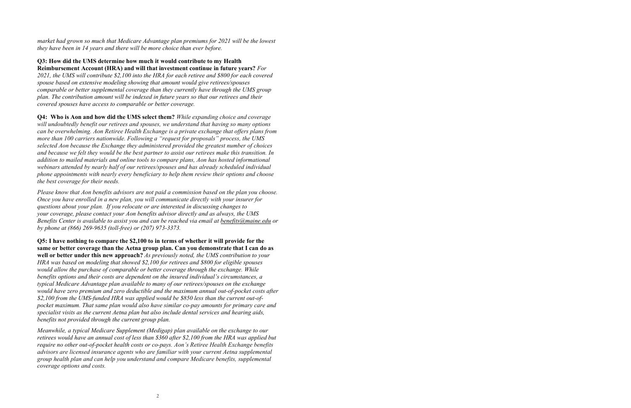*market had grown so much that Medicare Advantage plan premiums for 2021 will be the lowest they have been in 14 years and there will be more choice than ever before.* 

**Q3: How did the UMS determine how much it would contribute to my Health Reimbursement Account (HRA) and will that investment continue in future years?** *For 2021, the UMS will contribute \$2,100 into the HRA for each retiree and \$800 for each covered spouse based on extensive modeling showing that amount would give retirees/spouses comparable or better supplemental coverage than they currently have through the UMS group plan. The contribution amount will be indexed in future years so that our retirees and their covered spouses have access to comparable or better coverage.* 

 **Q4: Who is Aon and how did the UMS select them?** *While expanding choice and coverage will undoubtedly benefit our retirees and spouses, we understand that having so many options can be overwhelming. Aon Retiree Health Exchange is a private exchange that offers plans from more than 100 carriers nationwide. Following a "request for proposals" process, the UMS selected Aon because the Exchange they administered provided the greatest number of choices and because we felt they would be the best partner to assist our retirees make this transition. In addition to mailed materials and online tools to compare plans, Aon has hosted informational webinars attended by nearly half of our retirees/spouses and has already scheduled individual phone appointments with nearly every beneficiary to help them review their options and choose the best coverage for their needs.* 

 *Once you have enrolled in a new plan, you will communicate directly with your insurer for by phone at (866) 269-9635 (toll-free) or (207) 973-3373.Please know that Aon benefits advisors are not paid a commission based on the plan you choose. questions about your plan. If you relocate or are interested in discussing changes to your coverage, please contact your Aon benefits advisor directly and as always, the UMS Benefits Center is available to assist you and can be reached via email at [benefits@maine.edu](mailto:benefits@maine.edu) or* 

**Q5: I have nothing to compare the \$2,100 to in terms of whether it will provide for the same or better coverage than the Aetna group plan. Can you demonstrate that I can do as well or better under this new approach?** *As previously noted, the UMS contribution to your HRA was based on modeling that showed \$2,100 for retirees and \$800 for eligible spouses would allow the purchase of comparable or better coverage through the exchange. While benefits options and their costs are dependent on the insured individual's circumstances, a typical Medicare Advantage plan available to many of our retirees/spouses on the exchange would have zero premium and zero deductible and the maximum annual out-of-pocket costs after \$2,100 from the UMS-funded HRA was applied would be \$850 less than the current out-ofpocket maximum. That same plan would also have similar co-pay amounts for primary care and specialist visits as the current Aetna plan but also include dental services and hearing aids, benefits not provided through the current group plan.* 

*Meanwhile, a typical Medicare Supplement (Medigap) plan available on the exchange to our retirees would have an annual cost of less than \$360 after \$2,100 from the HRA was applied but require no other out-of-pocket health costs or co-pays. Aon's Retiree Health Exchange benefits advisors are licensed insurance agents who are familiar with your current Aetna supplemental group health plan and can help you understand and compare Medicare benefits, supplemental coverage options and costs.*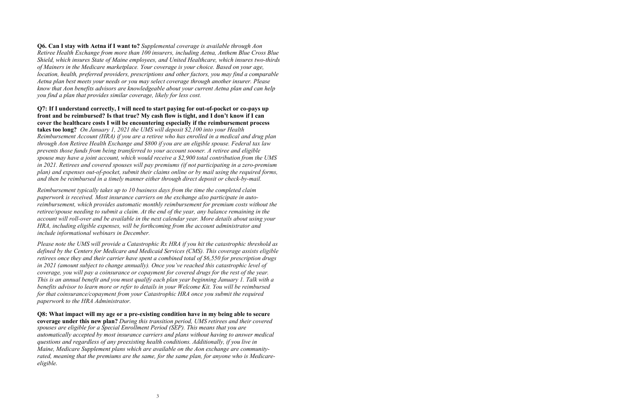**Q6. Can I stay with Aetna if I want to?** *Supplemental coverage is available through Aon Retiree Health Exchange from more than 100 insurers, including Aetna, Anthem Blue Cross Blue Shield, which insures State of Maine employees, and United Healthcare, which insures two-thirds of Mainers in the Medicare marketplace. Your coverage is your choice. Based on your age, location, health, preferred providers, prescriptions and other factors, you may find a comparable Aetna plan best meets your needs or you may select coverage through another insurer. Please know that Aon benefits advisors are knowledgeable about your current Aetna plan and can help you find a plan that provides similar coverage, likely for less cost.*

## **front and be reimbursed? Is that true? My cash flow is tight, and I don't know if I can cover the healthcare costs I will be encountering especially if the reimbursement process Q7: If I understand correctly, I will need to start paying for out-of-pocket or co-pays up**

**takes too long?** *On January 1, 2021 the UMS will deposit \$2,100 into your Health Reimbursement Account (HRA) if you are a retiree who has enrolled in a medical and drug plan through Aon Retiree Health Exchange and \$800 if you are an eligible spouse. Federal tax law prevents those funds from being transferred to your account sooner. A retiree and eligible spouse may have a joint account, which would receive a \$2,900 total contribution from the UMS in 2021. Retirees and covered spouses will pay premiums (if not participating in a zero-premium plan) and expenses out-of-pocket, submit their claims online or by mail using the required forms, and then be reimbursed in a timely manner either through direct deposit or check-by-mail.* 

*Reimbursement typically takes up to 10 business days from the time the completed claim paperwork is received. Most insurance carriers on the exchange also participate in autoreimbursement, which provides automatic monthly reimbursement for premium costs without the retiree/spouse needing to submit a claim. At the end of the year, any balance remaining in the account will roll-over and be available in the next calendar year. More details about using your HRA, including eligible expenses, will be forthcoming from the account administrator and include informational webinars in December.*

 *defined by the Centers for Medicare and Medicaid Services (CMS). This coverage assists eligible Please note the UMS will provide a Catastrophic Rx HRA if you hit the catastrophic threshold as retirees once they and their carrier have spent a combined total of \$6,550 for prescription drugs in 2021 (amount subject to change annually). Once you've reached this catastrophic level of coverage, you will pay a coinsurance or copayment for covered drugs for the rest of the year. This is an annual benefit and you must qualify each plan year beginning January 1. Talk with a benefits advisor to learn more or refer to details in your Welcome Kit. You will be reimbursed for that coinsurance/copayment from your Catastrophic HRA once you submit the required paperwork to the HRA Administrator.*

 **coverage under this new plan?** *During this transition period, UMS retirees and their covered* **Q8: What impact will my age or a pre-existing condition have in my being able to secure**  *spouses are eligible for a Special Enrollment Period (SEP). This means that you are automatically accepted by most insurance carriers and plans without having to answer medical questions and regardless of any preexisting health conditions. Additionally, if you live in Maine, Medicare Supplement plans which are available on the Aon exchange are community*rated, meaning that the premiums are the same, for the same plan, for anyone who is Medicare*eligible.*